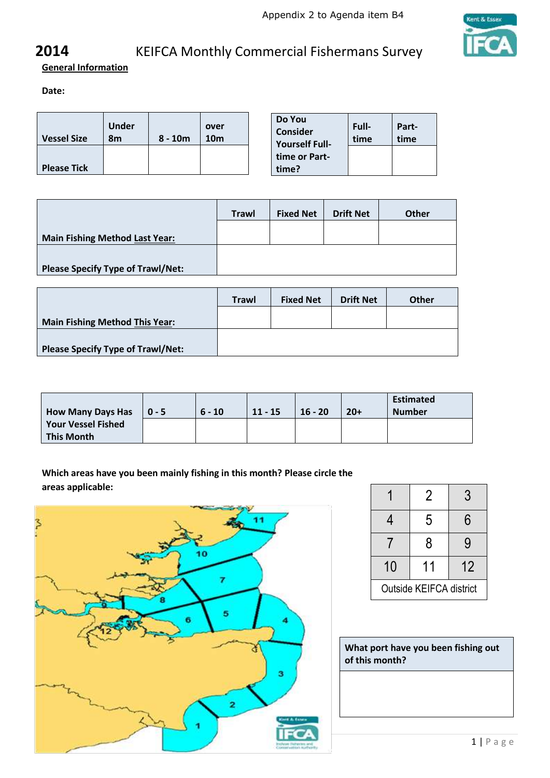

**General Information** 

**Date:**

| <b>Vessel Size</b> | Under<br>8m | $8 - 10m$ | over<br>10 <sub>m</sub> | Do You<br>Consider<br><b>Yourself Full-</b> | Full-<br>time | Part-<br>time |
|--------------------|-------------|-----------|-------------------------|---------------------------------------------|---------------|---------------|
| <b>Please Tick</b> |             |           |                         | time or Part-<br>time?                      |               |               |

|                                          | <b>Trawl</b> | <b>Fixed Net</b> | <b>Drift Net</b> | <b>Other</b> |
|------------------------------------------|--------------|------------------|------------------|--------------|
| <b>Main Fishing Method Last Year:</b>    |              |                  |                  |              |
|                                          |              |                  |                  |              |
| <b>Please Specify Type of Trawl/Net:</b> |              |                  |                  |              |

|                                          | <b>Trawl</b> | <b>Fixed Net</b> | <b>Drift Net</b> | <b>Other</b> |
|------------------------------------------|--------------|------------------|------------------|--------------|
|                                          |              |                  |                  |              |
| <b>Main Fishing Method This Year:</b>    |              |                  |                  |              |
| <b>Please Specify Type of Trawl/Net:</b> |              |                  |                  |              |
|                                          |              |                  |                  |              |

| <b>How Many Days Has</b>  | $0 - 5$ | $6 - 10$ | $11 - 15$ | $16 - 20$ | $20+$ | <b>Estimated</b><br><b>Number</b> |
|---------------------------|---------|----------|-----------|-----------|-------|-----------------------------------|
| <b>Your Vessel Fished</b> |         |          |           |           |       |                                   |
| <b>This Month</b>         |         |          |           |           |       |                                   |

**Which areas have you been mainly fishing in this month? Please circle the areas applicable:**



|                         | 2  | 3  |  |  |  |
|-------------------------|----|----|--|--|--|
| 4                       | 5  | 6  |  |  |  |
|                         | 8  | 9  |  |  |  |
| 10                      | 11 | 12 |  |  |  |
| Outside KEIFCA district |    |    |  |  |  |

**What port have you been fishing out of this month?**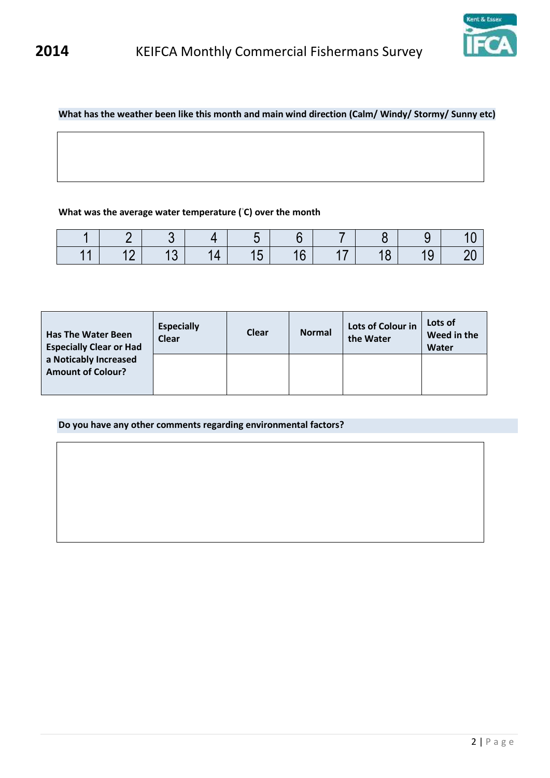

### **What has the weather been like this month and main wind direction (Calm/ Windy/ Stormy/ Sunny etc)**

### **What was the average water temperature ( ◦C) over the month**

| $\sim$ |  |  |  |  |
|--------|--|--|--|--|

| <b>Has The Water Been</b><br><b>Especially Clear or Had</b> | <b>Especially</b><br><b>Clear</b> | <b>Clear</b> | <b>Normal</b> | Lots of Colour in<br>the Water | Lots of<br>Weed in the<br>Water |
|-------------------------------------------------------------|-----------------------------------|--------------|---------------|--------------------------------|---------------------------------|
| a Noticably Increased<br><b>Amount of Colour?</b>           |                                   |              |               |                                |                                 |

**Do you have any other comments regarding environmental factors?**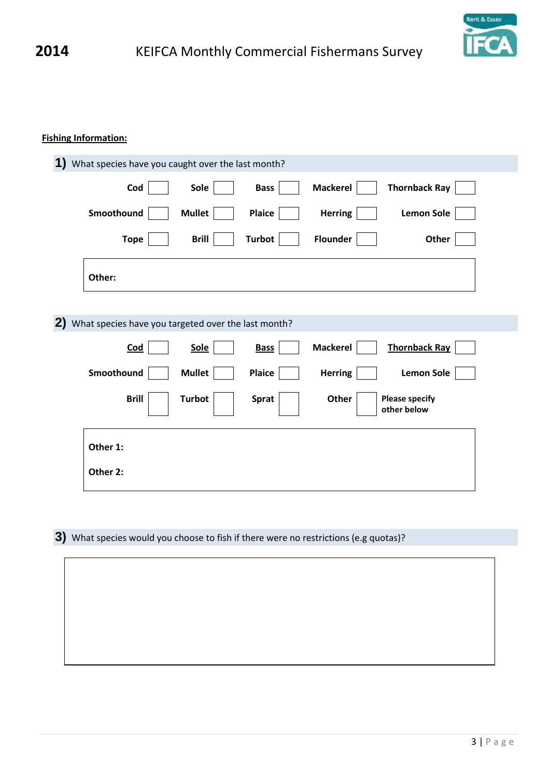

### **Fishing Information:**

| 1)<br>What species have you caught over the last month?             |               |               |                 |                                      |
|---------------------------------------------------------------------|---------------|---------------|-----------------|--------------------------------------|
| Cod                                                                 | Sole          | <b>Bass</b>   | <b>Mackerel</b> | <b>Thornback Ray</b>                 |
| Smoothound                                                          | <b>Mullet</b> | <b>Plaice</b> | <b>Herring</b>  | <b>Lemon Sole</b>                    |
| <b>Tope</b>                                                         | <b>Brill</b>  | <b>Turbot</b> | <b>Flounder</b> | Other                                |
| Other:                                                              |               |               |                 |                                      |
| $\mathbf{2}$<br>What species have you targeted over the last month? |               |               |                 |                                      |
| <b>Cod</b>                                                          | <b>Sole</b>   | <b>Bass</b>   | <b>Mackerel</b> | <b>Thornback Ray</b>                 |
| Smoothound                                                          | <b>Mullet</b> | <b>Plaice</b> | <b>Herring</b>  | <b>Lemon Sole</b>                    |
| <b>Brill</b>                                                        | <b>Turbot</b> | <b>Sprat</b>  | Other           | <b>Please specify</b><br>other below |
| Other 1:                                                            |               |               |                 |                                      |
| Other 2:                                                            |               |               |                 |                                      |

**3)** What species would you choose to fish if there were no restrictions (e.g quotas)?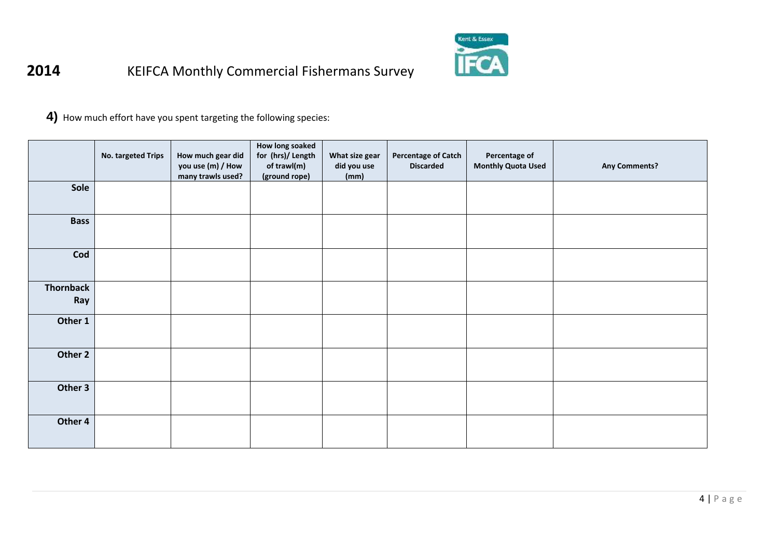

**4)** How much effort have you spent targeting the following species:

|                         | No. targeted Trips | How much gear did<br>you use (m) / How<br>many trawls used? | How long soaked<br>for (hrs)/ Length<br>of trawl(m)<br>(ground rope) | What size gear<br>did you use<br>(mm) | <b>Percentage of Catch</b><br><b>Discarded</b> | Percentage of<br><b>Monthly Quota Used</b> | <b>Any Comments?</b> |
|-------------------------|--------------------|-------------------------------------------------------------|----------------------------------------------------------------------|---------------------------------------|------------------------------------------------|--------------------------------------------|----------------------|
| Sole                    |                    |                                                             |                                                                      |                                       |                                                |                                            |                      |
| <b>Bass</b>             |                    |                                                             |                                                                      |                                       |                                                |                                            |                      |
| Cod                     |                    |                                                             |                                                                      |                                       |                                                |                                            |                      |
| <b>Thornback</b><br>Ray |                    |                                                             |                                                                      |                                       |                                                |                                            |                      |
| Other 1                 |                    |                                                             |                                                                      |                                       |                                                |                                            |                      |
| Other 2                 |                    |                                                             |                                                                      |                                       |                                                |                                            |                      |
| Other 3                 |                    |                                                             |                                                                      |                                       |                                                |                                            |                      |
| Other 4                 |                    |                                                             |                                                                      |                                       |                                                |                                            |                      |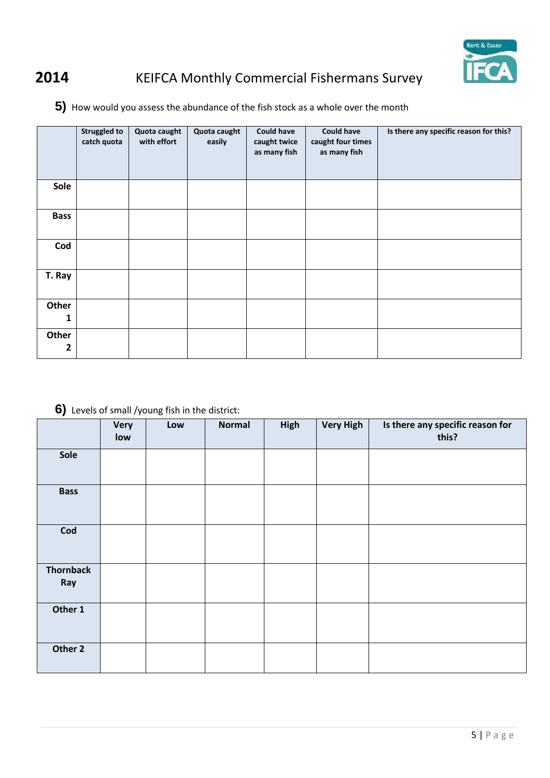

**5)** How would you assess the abundance of the fish stock as a whole over the month

|             | <b>Struggled to</b><br>catch quota | Quota caught<br>with effort | Quota caught<br>easily | <b>Could have</b><br>caught twice<br>as many fish | <b>Could have</b><br>caught four times<br>as many fish | Is there any specific reason for this? |
|-------------|------------------------------------|-----------------------------|------------------------|---------------------------------------------------|--------------------------------------------------------|----------------------------------------|
| Sole        |                                    |                             |                        |                                                   |                                                        |                                        |
| <b>Bass</b> |                                    |                             |                        |                                                   |                                                        |                                        |
| Cod         |                                    |                             |                        |                                                   |                                                        |                                        |
| T. Ray      |                                    |                             |                        |                                                   |                                                        |                                        |
| Other<br>1  |                                    |                             |                        |                                                   |                                                        |                                        |
| Other<br>2  |                                    |                             |                        |                                                   |                                                        |                                        |

## **6)** Levels of small /young fish in the district:

|                         | <b>Very</b><br>low | Low | <b>Normal</b> | High | <b>Very High</b> | Is there any specific reason for<br>this? |
|-------------------------|--------------------|-----|---------------|------|------------------|-------------------------------------------|
| Sole                    |                    |     |               |      |                  |                                           |
| <b>Bass</b>             |                    |     |               |      |                  |                                           |
| Cod                     |                    |     |               |      |                  |                                           |
| <b>Thornback</b><br>Ray |                    |     |               |      |                  |                                           |
| Other 1                 |                    |     |               |      |                  |                                           |
| Other 2                 |                    |     |               |      |                  |                                           |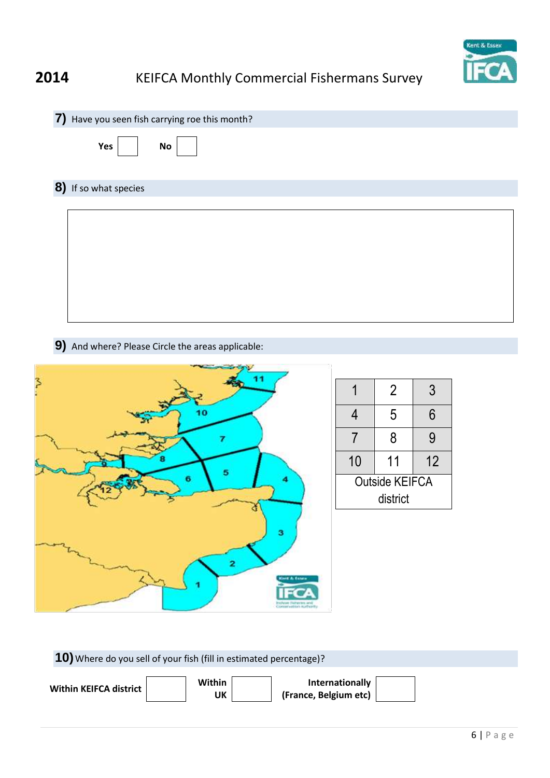

| 7) Have you seen fish carrying roe this month? |
|------------------------------------------------|
| Yes<br><b>No</b>                               |
| 8) If so what species                          |
|                                                |
|                                                |
|                                                |
|                                                |
|                                                |
|                                                |
|                                                |

**9)** And where? Please Circle the areas applicable:



| 10) Where do you sell of your fish (fill in estimated percentage)? |              |                                          |  |  |  |  |  |  |  |
|--------------------------------------------------------------------|--------------|------------------------------------------|--|--|--|--|--|--|--|
| Within KEIFCA district                                             | Within<br>UK | Internationally<br>(France, Belgium etc) |  |  |  |  |  |  |  |